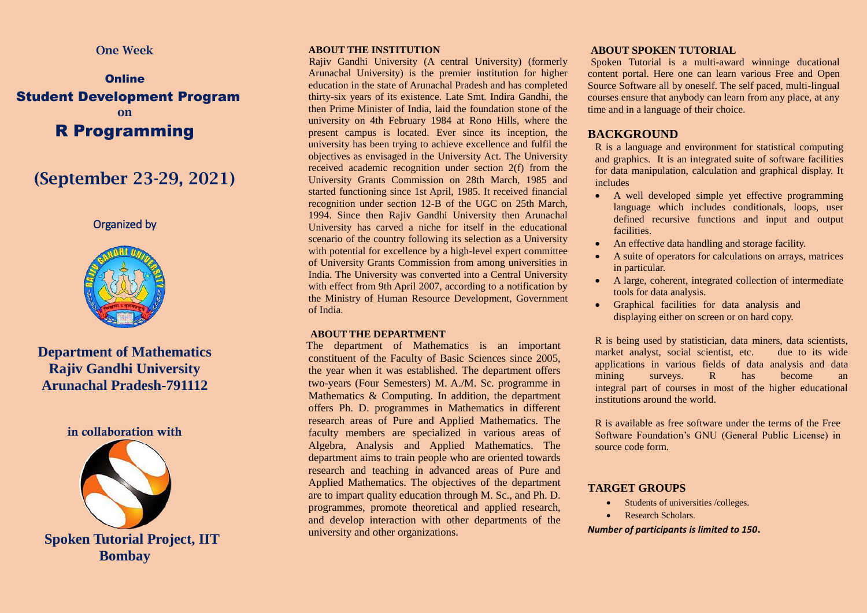### **One Week**

# **Online** Student Development Program **on** R Programming

# **(September 23-29, 2021)**

#### Organized by



**Department of Mathematics Rajiv Gandhi University Arunachal Pradesh-791112**

## **in collaboration with**



#### **ABOUT THE INSTITUTION**

Rajiv Gandhi University (A central University) (formerly Arunachal University) is the premier institution for higher education in the state of Arunachal Pradesh and has completed thirty-six years of its existence. Late Smt. Indira Gandhi, the then Prime Minister of India, laid the foundation stone of the university on 4th February 1984 at Rono Hills, where the present campus is located. Ever since its inception, the university has been trying to achieve excellence and fulfil the objectives as envisaged in the University Act. The University received academic recognition under section 2(f) from the University Grants Commission on 28th March, 1985 and started functioning since 1st April, 1985. It received financial recognition under section 12-B of the UGC on 25th March, 1994. Since then Rajiv Gandhi University then Arunachal University has carved a niche for itself in the educational scenario of the country following its selection as a University with potential for excellence by a high-level expert committee of University Grants Commission from among universities in India. The University was converted into a Central University with effect from 9th April 2007, according to a notification by the Ministry of Human Resource Development, Government of India.

#### **ABOUT THE DEPARTMENT**

 The department of Mathematics is an important constituent of the Faculty of Basic Sciences since 2005, the year when it was established. The department offers two-years (Four Semesters) M. A./M. Sc. programme in Mathematics & Computing. In addition, the department offers Ph. D. programmes in Mathematics in different research areas of Pure and Applied Mathematics. The faculty members are specialized in various areas of Algebra, Analysis and Applied Mathematics. The department aims to train people who are oriented towards research and teaching in advanced areas of Pure and Applied Mathematics. The objectives of the department are to impart quality education through M. Sc., and Ph. D. programmes, promote theoretical and applied research, and develop interaction with other departments of the university and other organizations.

#### **ABOUT SPOKEN TUTORIAL**

 Spoken Tutorial is a multi-award winninge ducational content portal. Here one can learn various Free and Open Source Software all by oneself. The self paced, multi-lingual courses ensure that anybody can learn from any place, at any time and in a language of their choice.

#### **BACKGROUND**

R is a language and environment for statistical computing and graphics. It is an integrated suite of software facilities for data manipulation, calculation and graphical display. It includes

- A well developed simple yet effective programming language which includes conditionals, loops, user defined recursive functions and input and output facilities.
- An effective data handling and storage facility.
- A suite of operators for calculations on arrays, matrices in particular.
- A large, coherent, integrated collection of intermediate tools for data analysis.
- Graphical facilities for data analysis and displaying either on screen or on hard copy.

R is being used by statistician, data miners, data scientists, market analyst, social scientist, etc. due to its wide applications in various fields of data analysis and data mining surveys. R has become an integral part of courses in most of the higher educational institutions around the world.

R is available as free software under the terms of the Free Software Foundation's GNU (General Public License) in source code form.

#### **TARGET GROUPS**

- Students of universities /colleges.
- Research Scholars.

*Number of participants is limited to 150***.**